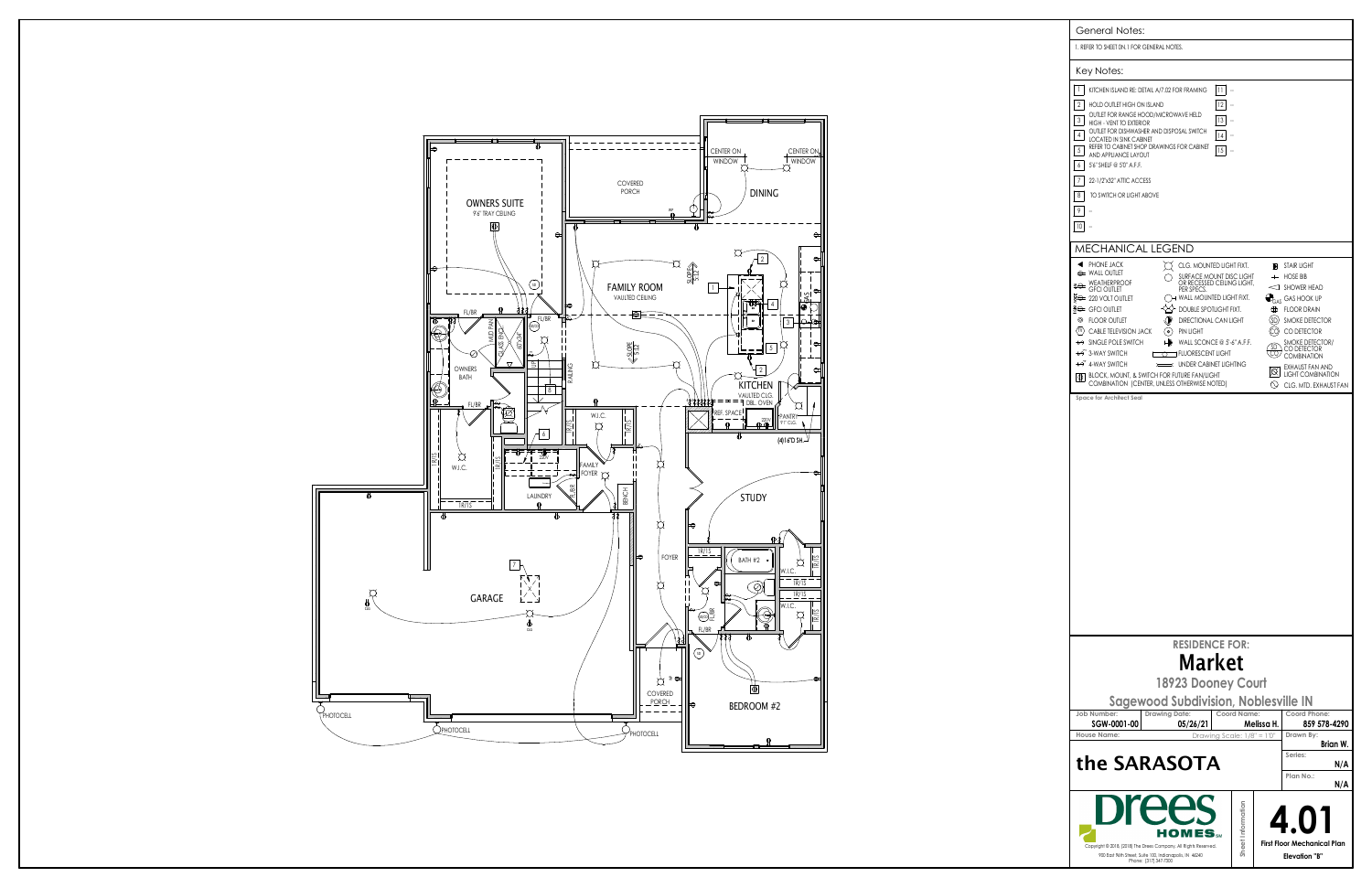| <b>General Notes:</b>                                                                                                                                                                                                                                                                                                                                                                                                                                                                                                                                                                                                                                                                                                         |                                                                                                                                                                                                                                                                                                                                                |  |  |
|-------------------------------------------------------------------------------------------------------------------------------------------------------------------------------------------------------------------------------------------------------------------------------------------------------------------------------------------------------------------------------------------------------------------------------------------------------------------------------------------------------------------------------------------------------------------------------------------------------------------------------------------------------------------------------------------------------------------------------|------------------------------------------------------------------------------------------------------------------------------------------------------------------------------------------------------------------------------------------------------------------------------------------------------------------------------------------------|--|--|
| 1. REFER TO SHEET ON.1 FOR GENERAL NOTES.                                                                                                                                                                                                                                                                                                                                                                                                                                                                                                                                                                                                                                                                                     |                                                                                                                                                                                                                                                                                                                                                |  |  |
| Key Notes:                                                                                                                                                                                                                                                                                                                                                                                                                                                                                                                                                                                                                                                                                                                    |                                                                                                                                                                                                                                                                                                                                                |  |  |
| 1<br>KITCHEN ISLAND RE: DETAIL A/7.02 FOR FRAMING<br> 1 <br>$\overline{2}$<br>12<br>HOLD OUTLET HIGH ON ISLAND<br>OUTLET FOR RANGE HOOD/MICROWAVE HELD<br>3<br>13<br>HIGH - VENT TO EXTERIOR<br>OUTLET FOR DISHWASHER AND DISPOSAL SWITCH<br>4<br> 4<br><b>LOCATED IN SINK CABINET</b><br>REFER TO CABINET SHOP DRAWINGS FOR CABINET<br>5<br>15<br>AND APPLIANCE LAYOUT<br>6<br>5'6" SHELF @ 5'0" A.F.F.<br>7<br>22-1/2"x32" ATTIC ACCESS<br>8<br>TO SWITCH OR LIGHT ABOVE<br>9                                                                                                                                                                                                                                               |                                                                                                                                                                                                                                                                                                                                                |  |  |
| 10                                                                                                                                                                                                                                                                                                                                                                                                                                                                                                                                                                                                                                                                                                                            |                                                                                                                                                                                                                                                                                                                                                |  |  |
| <b>MECHANICAL LEGEND</b>                                                                                                                                                                                                                                                                                                                                                                                                                                                                                                                                                                                                                                                                                                      |                                                                                                                                                                                                                                                                                                                                                |  |  |
| PHONE JACK<br>◀<br>J.<br>CLG. MOUNTED LIGHT FIXT.<br>$\Leftrightarrow$ Wall Outlet<br>SURFACE MOUNT DISC LIGHT<br>OR RECESSED CEILING LIGHT,<br><b>SO WEATHERPROOF</b><br>PER SPECS.<br><b>GFCI OUTLET</b><br>धेुं⇔ 220 VOLT OUTLET<br>$\rightarrow$ Wall mounted light fixt.<br>#e GFCI OUTLET<br>DOUBLE SPOTLIGHT FIXT.<br>◎<br><b>FLOOR OUTLET</b><br>DIRECTIONAL CAN LIGHT<br>(tv) Cable Television Jack<br>$($ o $)$<br><b>PIN LIGHT</b><br>← SINGLE POLE SWITCH<br>WALL SCONCE $@5-6"$ A.F.F.<br>⊢<br>↔ 3-WAY SWITCH<br><b>T FLUORESCENT LIGHT</b><br>↔ 4-WAY SWITCH<br><b>UNDER CABINET LIGHTING</b><br>$\equiv$<br>BLOCK, MOUNT, & SWITCH FOR FUTURE FAN/LIGHT<br>IФI<br>COMBINATION (CENTER, UNLESS OTHERWISE NOTED) | <b>STAIR LIGHT</b><br>Ы<br>$+$<br><b>HOSE BIB</b><br>$\triangleleft$ SHOWER HEAD<br>$\mathbf{P}_{\text{GAS}}$ GAS HOOK UP<br>⊕<br><b>FLOOR DRAIN</b><br>(SD)<br>SMOKE DETECTOR<br>CO DETECTOR<br>SMOKE DETECTOR/<br>CO DETECTOR<br><b>COMBINATION</b><br><b>EXHAUST FAN AND</b><br>⊠<br><b>LIGHT COMBINATION</b><br>N<br>CLG. MTD. EXHAUST FAN |  |  |
| Space for Architect Seal                                                                                                                                                                                                                                                                                                                                                                                                                                                                                                                                                                                                                                                                                                      |                                                                                                                                                                                                                                                                                                                                                |  |  |
|                                                                                                                                                                                                                                                                                                                                                                                                                                                                                                                                                                                                                                                                                                                               |                                                                                                                                                                                                                                                                                                                                                |  |  |
| <b>RESIDENCE FOR:</b>                                                                                                                                                                                                                                                                                                                                                                                                                                                                                                                                                                                                                                                                                                         |                                                                                                                                                                                                                                                                                                                                                |  |  |
| <b>Market</b><br>18923 Dooney Court<br><b>Sagewood Subdivision, Noblesville IN</b>                                                                                                                                                                                                                                                                                                                                                                                                                                                                                                                                                                                                                                            |                                                                                                                                                                                                                                                                                                                                                |  |  |
| <b>Drawing Date:</b><br>Coord Name:<br>Job Number:<br>SGW-0001-00<br>05/26/21<br>Drawing Scale: $1/8" = 1'0"$<br><b>House Name:</b>                                                                                                                                                                                                                                                                                                                                                                                                                                                                                                                                                                                           | Coord Phone:<br>Melissa H.<br>859 578-4290<br>Drawn By:<br>Brian W.                                                                                                                                                                                                                                                                            |  |  |
| the SARASOTA                                                                                                                                                                                                                                                                                                                                                                                                                                                                                                                                                                                                                                                                                                                  | Series:<br>N/A<br>Plan No.:                                                                                                                                                                                                                                                                                                                    |  |  |
|                                                                                                                                                                                                                                                                                                                                                                                                                                                                                                                                                                                                                                                                                                                               | N/A                                                                                                                                                                                                                                                                                                                                            |  |  |
| Sheet Information<br>Copyright © 2018, (2018) The Drees Company. All Rights Reserved.<br>900 East 96th Street, Suite 100, Indianapolis, IN 46240<br>Phone: [317] 347-7300                                                                                                                                                                                                                                                                                                                                                                                                                                                                                                                                                     | <b>First Floor Mechanical Plan</b><br><b>Elevation "B"</b>                                                                                                                                                                                                                                                                                     |  |  |

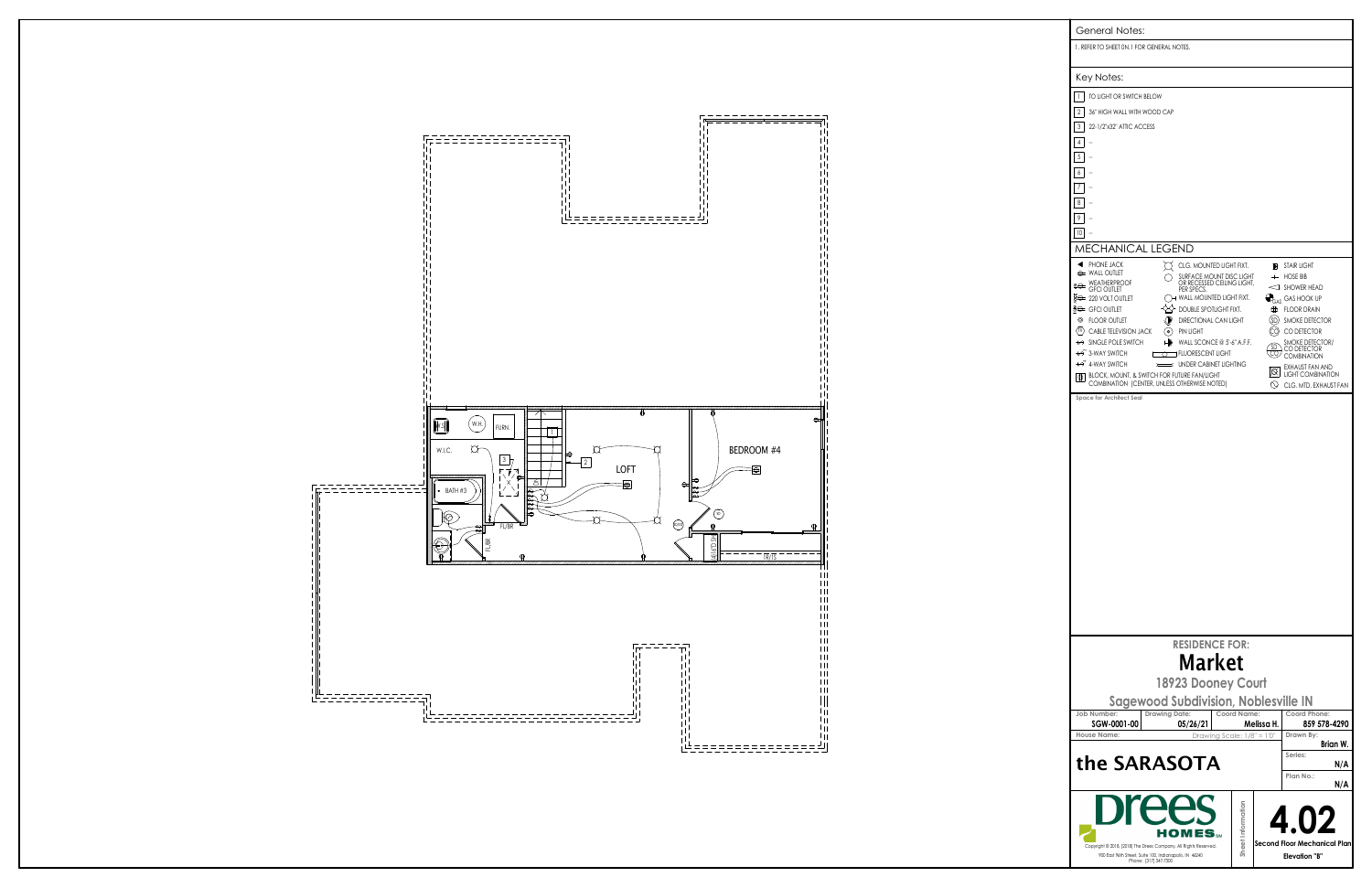